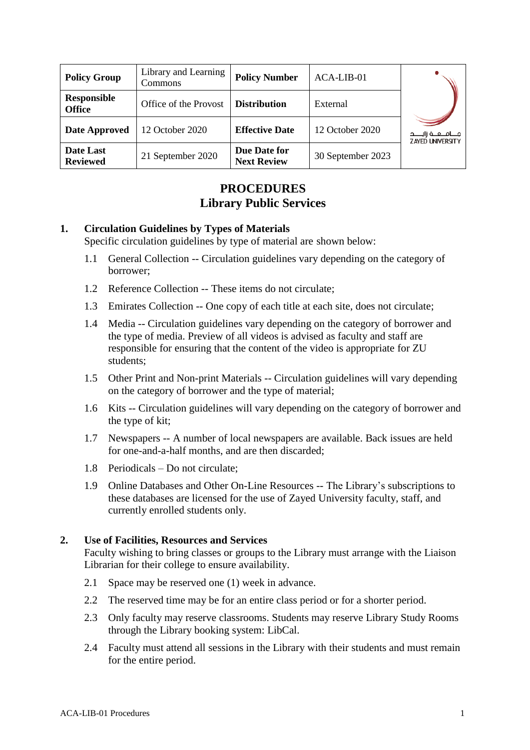| <b>Policy Group</b>                 | Library and Learning<br>Commons | <b>Policy Number</b>               | ACA-LIB-01        |                                                      |  |
|-------------------------------------|---------------------------------|------------------------------------|-------------------|------------------------------------------------------|--|
| <b>Responsible</b><br><b>Office</b> | Office of the Provost           | <b>Distribution</b>                | External          |                                                      |  |
| <b>Date Approved</b>                | 12 October 2020                 | <b>Effective Date</b>              | 12 October 2020   | جــــامـــعـــة زايـــــد<br><b>ZAYED UNIVERSITY</b> |  |
| Date Last<br><b>Reviewed</b>        | 21 September 2020               | Due Date for<br><b>Next Review</b> | 30 September 2023 |                                                      |  |

## **PROCEDURES Library Public Services**

#### **1. Circulation Guidelines by Types of Materials**

Specific circulation guidelines by type of material are shown below:

- 1.1 General Collection -- Circulation guidelines vary depending on the category of borrower;
- 1.2 Reference Collection -- These items do not circulate;
- 1.3 Emirates Collection -- One copy of each title at each site, does not circulate;
- 1.4 Media -- Circulation guidelines vary depending on the category of borrower and the type of media. Preview of all videos is advised as faculty and staff are responsible for ensuring that the content of the video is appropriate for ZU students;
- 1.5 Other Print and Non-print Materials -- Circulation guidelines will vary depending on the category of borrower and the type of material;
- 1.6 Kits -- Circulation guidelines will vary depending on the category of borrower and the type of kit;
- 1.7 Newspapers -- A number of local newspapers are available. Back issues are held for one-and-a-half months, and are then discarded;
- 1.8 Periodicals Do not circulate;
- 1.9 Online Databases and Other On-Line Resources -- The Library's subscriptions to these databases are licensed for the use of Zayed University faculty, staff, and currently enrolled students only.

#### **2. Use of Facilities, Resources and Services**

Faculty wishing to bring classes or groups to the Library must arrange with the Liaison Librarian for their college to ensure availability.

- 2.1 Space may be reserved one (1) week in advance.
- 2.2 The reserved time may be for an entire class period or for a shorter period.
- 2.3 Only faculty may reserve classrooms. Students may reserve Library Study Rooms through the Library booking system: LibCal.
- 2.4 Faculty must attend all sessions in the Library with their students and must remain for the entire period.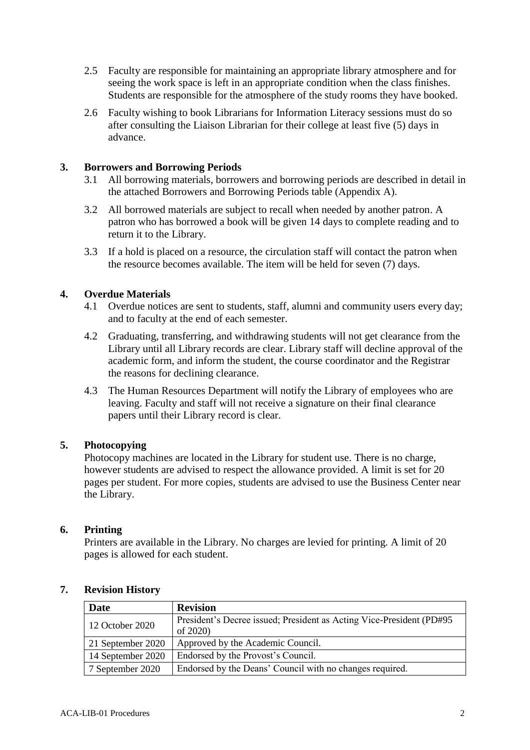- 2.5 Faculty are responsible for maintaining an appropriate library atmosphere and for seeing the work space is left in an appropriate condition when the class finishes. Students are responsible for the atmosphere of the study rooms they have booked.
- 2.6 Faculty wishing to book Librarians for Information Literacy sessions must do so after consulting the Liaison Librarian for their college at least five (5) days in advance.

#### **3. Borrowers and Borrowing Periods**

- 3.1 All borrowing materials, borrowers and borrowing periods are described in detail in the attached Borrowers and Borrowing Periods table (Appendix A).
- 3.2 All borrowed materials are subject to recall when needed by another patron. A patron who has borrowed a book will be given 14 days to complete reading and to return it to the Library.
- 3.3 If a hold is placed on a resource, the circulation staff will contact the patron when the resource becomes available. The item will be held for seven (7) days.

#### **4. Overdue Materials**

- 4.1 Overdue notices are sent to students, staff, alumni and community users every day; and to faculty at the end of each semester.
- 4.2 Graduating, transferring, and withdrawing students will not get clearance from the Library until all Library records are clear. Library staff will decline approval of the academic form, and inform the student, the course coordinator and the Registrar the reasons for declining clearance.
- 4.3 The Human Resources Department will notify the Library of employees who are leaving. Faculty and staff will not receive a signature on their final clearance papers until their Library record is clear.

#### **5. Photocopying**

Photocopy machines are located in the Library for student use. There is no charge, however students are advised to respect the allowance provided. A limit is set for 20 pages per student. For more copies, students are advised to use the Business Center near the Library.

#### **6. Printing**

Printers are available in the Library. No charges are levied for printing. A limit of 20 pages is allowed for each student.

# **7. Revision History**

| Date              | <b>Revision</b>                                                       |
|-------------------|-----------------------------------------------------------------------|
| 12 October 2020   | President's Decree issued; President as Acting Vice-President (PD#95) |
|                   | of 2020)                                                              |
| 21 September 2020 | Approved by the Academic Council.                                     |
| 14 September 2020 | Endorsed by the Provost's Council.                                    |
| 7 September 2020  | Endorsed by the Deans' Council with no changes required.              |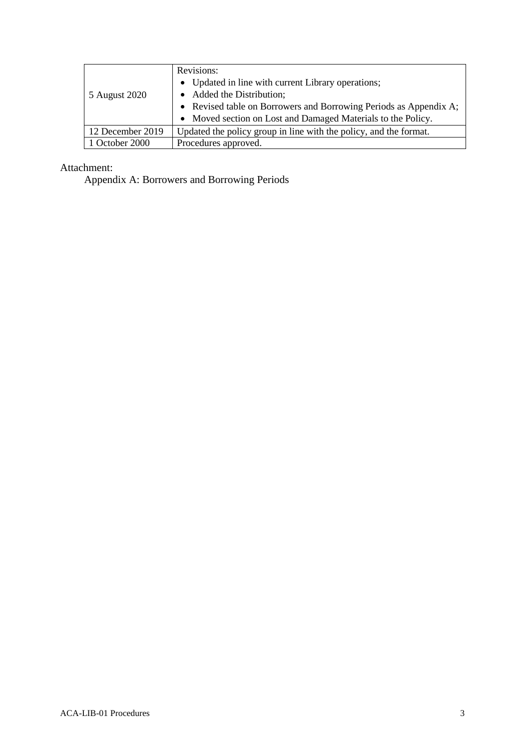|                  | Revisions:                                                        |  |  |  |
|------------------|-------------------------------------------------------------------|--|--|--|
|                  | • Updated in line with current Library operations;                |  |  |  |
| 5 August 2020    | • Added the Distribution;                                         |  |  |  |
|                  | • Revised table on Borrowers and Borrowing Periods as Appendix A; |  |  |  |
|                  | • Moved section on Lost and Damaged Materials to the Policy.      |  |  |  |
| 12 December 2019 | Updated the policy group in line with the policy, and the format. |  |  |  |
| 1 October 2000   | Procedures approved.                                              |  |  |  |

Attachment:

Appendix A: Borrowers and Borrowing Periods